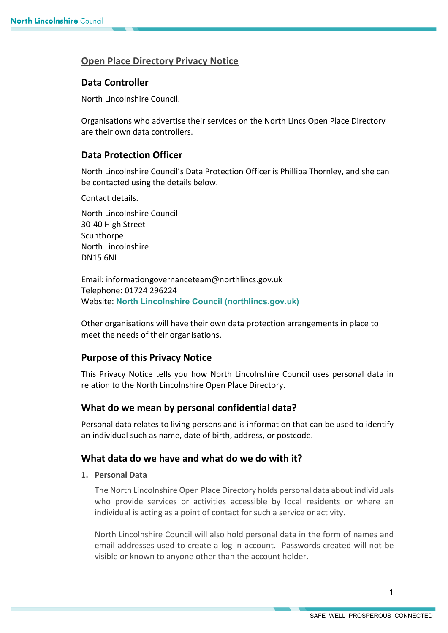# **Open Place Directory Privacy Notice**

# **Data Controller**

North Lincolnshire Council.

Organisations who advertise their services on the North Lincs Open Place Directory are their own data controllers.

## **Data Protection Officer**

North Lincolnshire Council's Data Protection Officer is Phillipa Thornley, and she can be contacted using the details below.

Contact details.

North Lincolnshire Council 30-40 High Street Scunthorpe North Lincolnshire DN15 6NL

Email: informationgovernanceteam@northlincs.gov.uk Telephone: 01724 296224 Website: **[North Lincolnshire Council \(northlincs.gov.uk\)](https://www.northlincs.gov.uk/)**

Other organisations will have their own data protection arrangements in place to meet the needs of their organisations.

## **Purpose of this Privacy Notice**

This Privacy Notice tells you how North Lincolnshire Council uses personal data in relation to the North Lincolnshire Open Place Directory.

## **What do we mean by personal confidential data?**

Personal data relates to living persons and is information that can be used to identify an individual such as name, date of birth, address, or postcode.

## **What data do we have and what do we do with it?**

### **1. Personal Data**

The North Lincolnshire Open Place Directory holds personal data about individuals who provide services or activities accessible by local residents or where an individual is acting as a point of contact for such a service or activity.

North Lincolnshire Council will also hold personal data in the form of names and email addresses used to create a log in account. Passwords created will not be visible or known to anyone other than the account holder.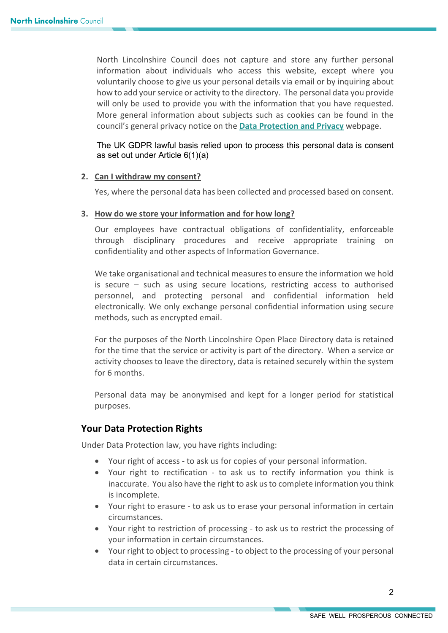North Lincolnshire Council does not capture and store any further personal information about individuals who access this website, except where you voluntarily choose to give us your personal details via email or by inquiring about how to add your service or activity to the directory. The personal data you provide will only be used to provide you with the information that you have requested. More general information about subjects such as cookies can be found in the council's general privacy notice on the **[Data Protection and Privacy](https://www.northlincs.gov.uk/your-council/data-protection-and-privacy/)** webpage.

The UK GDPR lawful basis relied upon to process this personal data is consent as set out under Article 6(1)(a)

### **2. Can I withdraw my consent?**

Yes, where the personal data has been collected and processed based on consent.

### **3. How do we store your information and for how long?**

Our employees have contractual obligations of confidentiality, enforceable through disciplinary procedures and receive appropriate training on confidentiality and other aspects of Information Governance.

We take organisational and technical measures to ensure the information we hold is secure – such as using secure locations, restricting access to authorised personnel, and protecting personal and confidential information held electronically. We only exchange personal confidential information using secure methods, such as encrypted email.

For the purposes of the North Lincolnshire Open Place Directory data is retained for the time that the service or activity is part of the directory. When a service or activity chooses to leave the directory, data is retained securely within the system for 6 months.

Personal data may be anonymised and kept for a longer period for statistical purposes.

## **Your Data Protection Rights**

Under Data Protection law, you have rights including:

- Your right of access to ask us for copies of your personal information.
- Your right to rectification to ask us to rectify information you think is inaccurate. You also have the right to ask us to complete information you think is incomplete.
- Your right to erasure to ask us to erase your personal information in certain circumstances.
- Your right to restriction of processing to ask us to restrict the processing of your information in certain circumstances.
- Your right to object to processing to object to the processing of your personal data in certain circumstances.